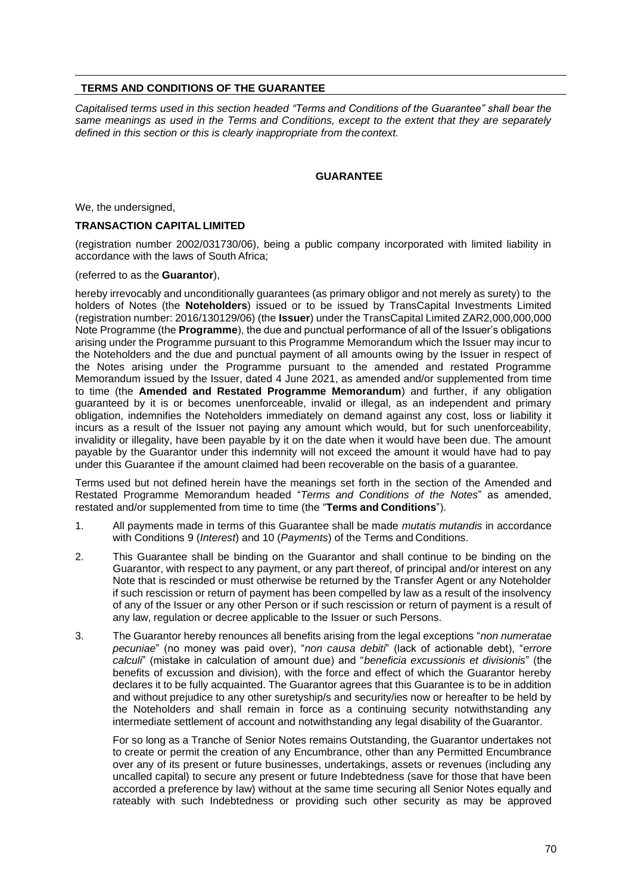## **TERMS AND CONDITIONS OF THE GUARANTEE**

*Capitalised terms used in this section headed "Terms and Conditions of the Guarantee" shall bear the same meanings as used in the Terms and Conditions, except to the extent that they are separately defined in this section or this is clearly inappropriate from the context.*

## **GUARANTEE**

We, the undersigned,

## **TRANSACTION CAPITAL LIMITED**

(registration number 2002/031730/06), being a public company incorporated with limited liability in accordance with the laws of South Africa;

## (referred to as the **Guarantor**),

hereby irrevocably and unconditionally guarantees (as primary obligor and not merely as surety) to the holders of Notes (the **Noteholders**) issued or to be issued by TransCapital Investments Limited (registration number: 2016/130129/06) (the **Issuer**) under the TransCapital Limited ZAR2,000,000,000 Note Programme (the **Programme**), the due and punctual performance of all of the Issuer's obligations arising under the Programme pursuant to this Programme Memorandum which the Issuer may incur to the Noteholders and the due and punctual payment of all amounts owing by the Issuer in respect of the Notes arising under the Programme pursuant to the amended and restated Programme Memorandum issued by the Issuer, dated 4 June 2021, as amended and/or supplemented from time to time (the **Amended and Restated Programme Memorandum**) and further, if any obligation guaranteed by it is or becomes unenforceable, invalid or illegal, as an independent and primary obligation, indemnifies the Noteholders immediately on demand against any cost, loss or liability it incurs as a result of the Issuer not paying any amount which would, but for such unenforceability, invalidity or illegality, have been payable by it on the date when it would have been due. The amount payable by the Guarantor under this indemnity will not exceed the amount it would have had to pay under this Guarantee if the amount claimed had been recoverable on the basis of a guarantee.

Terms used but not defined herein have the meanings set forth in the section of the Amended and Restated Programme Memorandum headed "*Terms and Conditions of the Notes*" as amended, restated and/or supplemented from time to time (the "**Terms and Conditions**").

- 1. All payments made in terms of this Guarantee shall be made *mutatis mutandis* in accordance with Conditions 9 (*Interest*) and 10 (*Payments*) of the Terms and Conditions.
- 2. This Guarantee shall be binding on the Guarantor and shall continue to be binding on the Guarantor, with respect to any payment, or any part thereof, of principal and/or interest on any Note that is rescinded or must otherwise be returned by the Transfer Agent or any Noteholder if such rescission or return of payment has been compelled by law as a result of the insolvency of any of the Issuer or any other Person or if such rescission or return of payment is a result of any law, regulation or decree applicable to the Issuer or such Persons.
- 3. The Guarantor hereby renounces all benefits arising from the legal exceptions "*non numeratae pecuniae*" (no money was paid over), "*non causa debiti*" (lack of actionable debt), "*errore calculi*" (mistake in calculation of amount due) and "*beneficia excussionis et divisionis*" (the benefits of excussion and division), with the force and effect of which the Guarantor hereby declares it to be fully acquainted. The Guarantor agrees that this Guarantee is to be in addition and without prejudice to any other suretyship/s and security/ies now or hereafter to be held by the Noteholders and shall remain in force as a continuing security notwithstanding any intermediate settlement of account and notwithstanding any legal disability of the Guarantor.

For so long as a Tranche of Senior Notes remains Outstanding, the Guarantor undertakes not to create or permit the creation of any Encumbrance, other than any Permitted Encumbrance over any of its present or future businesses, undertakings, assets or revenues (including any uncalled capital) to secure any present or future Indebtedness (save for those that have been accorded a preference by law) without at the same time securing all Senior Notes equally and rateably with such Indebtedness or providing such other security as may be approved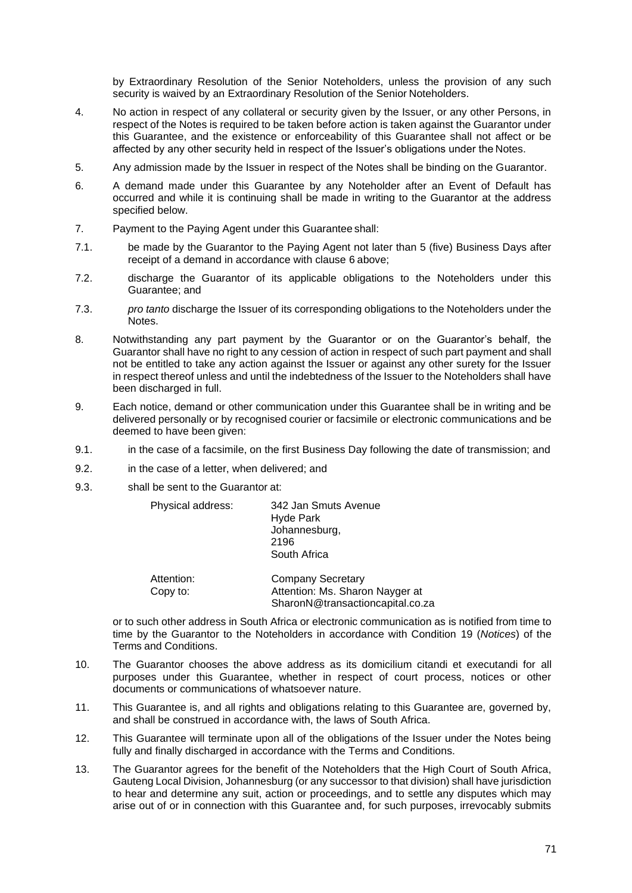by Extraordinary Resolution of the Senior Noteholders, unless the provision of any such security is waived by an Extraordinary Resolution of the Senior Noteholders.

- 4. No action in respect of any collateral or security given by the Issuer, or any other Persons, in respect of the Notes is required to be taken before action is taken against the Guarantor under this Guarantee, and the existence or enforceability of this Guarantee shall not affect or be affected by any other security held in respect of the Issuer's obligations under the Notes.
- 5. Any admission made by the Issuer in respect of the Notes shall be binding on the Guarantor.
- <span id="page-1-0"></span>6. A demand made under this Guarantee by any Noteholder after an Event of Default has occurred and while it is continuing shall be made in writing to the Guarantor at the address specified below.
- 7. Payment to the Paying Agent under this Guarantee shall:
- 7.1. be made by the Guarantor to the Paying Agent not later than 5 (five) Business Days after receipt of a demand in accordance with clause [6](#page-1-0) above;
- 7.2. discharge the Guarantor of its applicable obligations to the Noteholders under this Guarantee; and
- 7.3. *pro tanto* discharge the Issuer of its corresponding obligations to the Noteholders under the Notes.
- 8. Notwithstanding any part payment by the Guarantor or on the Guarantor's behalf, the Guarantor shall have no right to any cession of action in respect of such part payment and shall not be entitled to take any action against the Issuer or against any other surety for the Issuer in respect thereof unless and until the indebtedness of the Issuer to the Noteholders shall have been discharged in full.
- 9. Each notice, demand or other communication under this Guarantee shall be in writing and be delivered personally or by recognised courier or facsimile or electronic communications and be deemed to have been given:
- 9.1. in the case of a facsimile, on the first Business Day following the date of transmission; and
- 9.2. in the case of a letter, when delivered; and
- 9.3. shall be sent to the Guarantor at:

| Physical address:      | 342 Jan Smuts Avenue<br><b>Hyde Park</b><br>Johannesburg,<br>2196<br>South Africa               |
|------------------------|-------------------------------------------------------------------------------------------------|
| Attention:<br>Copy to: | <b>Company Secretary</b><br>Attention: Ms. Sharon Nayger at<br>SharonN@transactioncapital.co.za |

or to such other address in South Africa or electronic communication as is notified from time to time by the Guarantor to the Noteholders in accordance with Condition 19 (*Notices*) of the Terms and Conditions.

- 10. The Guarantor chooses the above address as its domicilium citandi et executandi for all purposes under this Guarantee, whether in respect of court process, notices or other documents or communications of whatsoever nature.
- 11. This Guarantee is, and all rights and obligations relating to this Guarantee are, governed by, and shall be construed in accordance with, the laws of South Africa.
- 12. This Guarantee will terminate upon all of the obligations of the Issuer under the Notes being fully and finally discharged in accordance with the Terms and Conditions.
- 13. The Guarantor agrees for the benefit of the Noteholders that the High Court of South Africa, Gauteng Local Division, Johannesburg (or any successor to that division) shall have jurisdiction to hear and determine any suit, action or proceedings, and to settle any disputes which may arise out of or in connection with this Guarantee and, for such purposes, irrevocably submits